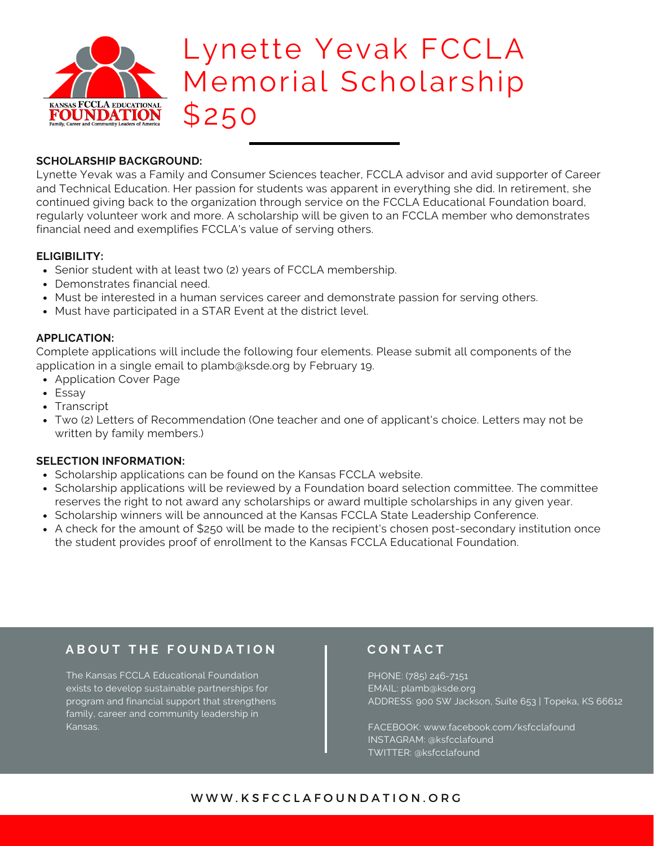

# Lynette Yevak FCCLA Memorial Scholarship \$250

### **SCHOLARSHIP BACKGROUND:**

Lynette Yevak was a Family and Consumer Sciences teacher, FCCLA advisor and avid supporter of Career and Technical Education. Her passion for students was apparent in everything she did. In retirement, she continued giving back to the organization through service on the FCCLA Educational Foundation board, regularly volunteer work and more. A scholarship will be given to an FCCLA member who demonstrates financial need and exemplifies FCCLA's value of serving others.

### **ELIGIBILITY:**

- Senior student with at least two (2) years of FCCLA membership.
- Demonstrates financial need.
- Must be interested in a human services career and demonstrate passion for serving others.
- Must have participated in a STAR Event at the district level.

### **APPLICATION:**

Complete applications will include the following four elements. Please submit all components of the application in a single email to plamb@ksde.org by February 19.

- Application Cover Page
- Essay
- Transcript
- Two (2) Letters of Recommendation (One teacher and one of applicant's choice. Letters may not be written by family members.)

#### **SELECTION INFORMATION:**

- Scholarship applications can be found on the Kansas FCCLA website.
- Scholarship applications will be reviewed by a Foundation board selection committee. The committee reserves the right to not award any scholarships or award multiple scholarships in any given year.
- Scholarship winners will be announced at the Kansas FCCLA State Leadership Conference.
- A check for the amount of \$250 will be made to the recipient's chosen post-secondary institution once the student provides proof of enrollment to the Kansas FCCLA Educational Foundation.

## **A B O U T T H E F O U N D A T I O N**

The Kansas FCCLA Educational Foundation exists to develop sustainable partnerships for program and financial support that strengthens family, career and community leadership in Kansas.

## **C O N T A C T**

PHONE: (785) 246-7151 EMAIL: plamb@ksde.org ADDRESS: 900 SW Jackson, Suite 653 | Topeka, KS 66612

FACEBOOK: www.facebook.com/ksfcclafound INSTAGRAM: @ksfcclafound TWITTER: @ksfcclafound